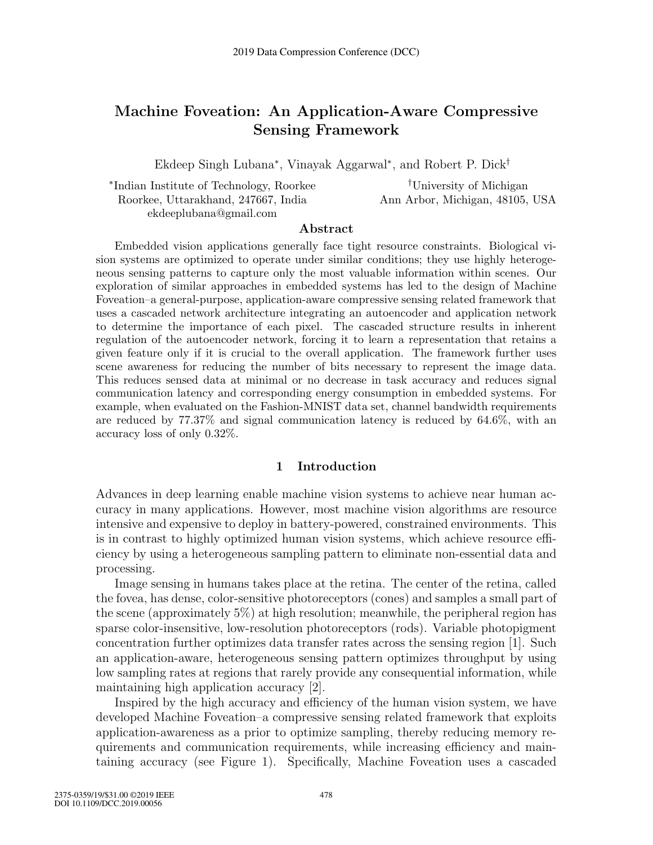# **Machine Foveation: An Application-Aware Compressive Sensing Framework**

Ekdeep Singh Lubana∗, Vinayak Aggarwal∗, and Robert P. Dick†

| *Indian Institute of Technology, Roorkee | <sup>†</sup> University of Michigan |
|------------------------------------------|-------------------------------------|
| Roorkee, Uttarakhand, 247667, India      | Ann Arbor, Michigan, 48105, USA     |
| ekdeeplubana@gmail.com                   |                                     |

### **Abstract**

Embedded vision applications generally face tight resource constraints. Biological vision systems are optimized to operate under similar conditions; they use highly heterogeneous sensing patterns to capture only the most valuable information within scenes. Our exploration of similar approaches in embedded systems has led to the design of Machine Foveation–a general-purpose, application-aware compressive sensing related framework that uses a cascaded network architecture integrating an autoencoder and application network to determine the importance of each pixel. The cascaded structure results in inherent regulation of the autoencoder network, forcing it to learn a representation that retains a given feature only if it is crucial to the overall application. The framework further uses scene awareness for reducing the number of bits necessary to represent the image data. This reduces sensed data at minimal or no decrease in task accuracy and reduces signal communication latency and corresponding energy consumption in embedded systems. For example, when evaluated on the Fashion-MNIST data set, channel bandwidth requirements are reduced by 77.37% and signal communication latency is reduced by 64.6%, with an accuracy loss of only 0.32%.

### **1 Introduction**

Advances in deep learning enable machine vision systems to achieve near human accuracy in many applications. However, most machine vision algorithms are resource intensive and expensive to deploy in battery-powered, constrained environments. This is in contrast to highly optimized human vision systems, which achieve resource efficiency by using a heterogeneous sampling pattern to eliminate non-essential data and processing.

Image sensing in humans takes place at the retina. The center of the retina, called the fovea, has dense, color-sensitive photoreceptors (cones) and samples a small part of the scene (approximately 5%) at high resolution; meanwhile, the peripheral region has sparse color-insensitive, low-resolution photoreceptors (rods). Variable photopigment concentration further optimizes data transfer rates across the sensing region [1]. Such an application-aware, heterogeneous sensing pattern optimizes throughput by using low sampling rates at regions that rarely provide any consequential information, while maintaining high application accuracy [2].

Inspired by the high accuracy and efficiency of the human vision system, we have developed Machine Foveation–a compressive sensing related framework that exploits application-awareness as a prior to optimize sampling, thereby reducing memory requirements and communication requirements, while increasing efficiency and maintaining accuracy (see Figure 1). Specifically, Machine Foveation uses a cascaded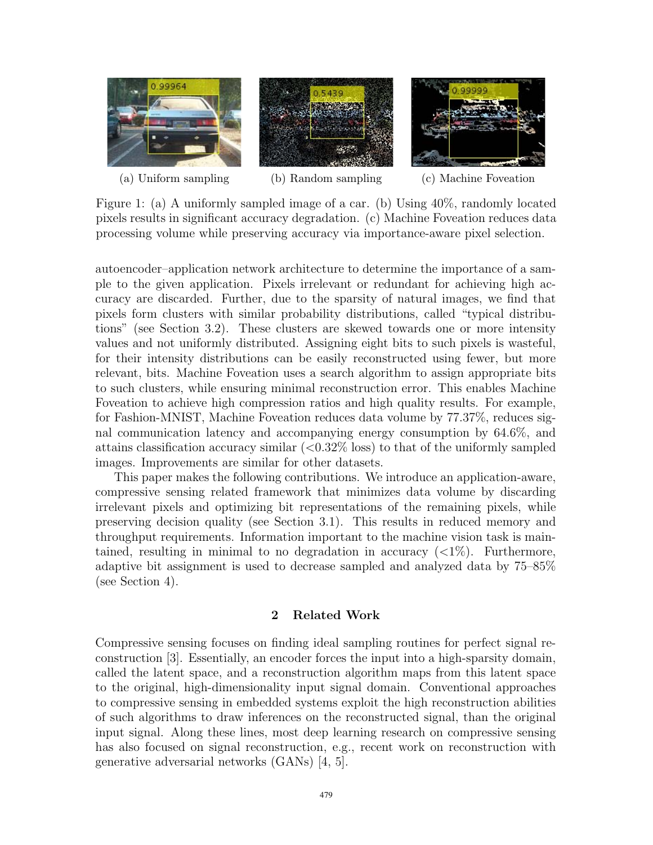

(a) Uniform sampling (b) Random sampling (c) Machine Foveation

Figure 1: (a) A uniformly sampled image of a car. (b) Using 40%, randomly located pixels results in significant accuracy degradation. (c) Machine Foveation reduces data processing volume while preserving accuracy via importance-aware pixel selection.

autoencoder–application network architecture to determine the importance of a sample to the given application. Pixels irrelevant or redundant for achieving high accuracy are discarded. Further, due to the sparsity of natural images, we find that pixels form clusters with similar probability distributions, called "typical distributions" (see Section 3.2). These clusters are skewed towards one or more intensity values and not uniformly distributed. Assigning eight bits to such pixels is wasteful, for their intensity distributions can be easily reconstructed using fewer, but more relevant, bits. Machine Foveation uses a search algorithm to assign appropriate bits to such clusters, while ensuring minimal reconstruction error. This enables Machine Foveation to achieve high compression ratios and high quality results. For example, for Fashion-MNIST, Machine Foveation reduces data volume by 77.37%, reduces signal communication latency and accompanying energy consumption by 64.6%, and attains classification accuracy similar  $(<0.32\%$  loss) to that of the uniformly sampled images. Improvements are similar for other datasets.

This paper makes the following contributions. We introduce an application-aware, compressive sensing related framework that minimizes data volume by discarding irrelevant pixels and optimizing bit representations of the remaining pixels, while preserving decision quality (see Section 3.1). This results in reduced memory and throughput requirements. Information important to the machine vision task is maintained, resulting in minimal to no degradation in accuracy  $\left\langle \langle 1\% \rangle \right\rangle$ . Furthermore, adaptive bit assignment is used to decrease sampled and analyzed data by 75–85% (see Section 4).

### **2 Related Work**

Compressive sensing focuses on finding ideal sampling routines for perfect signal reconstruction [3]. Essentially, an encoder forces the input into a high-sparsity domain, called the latent space, and a reconstruction algorithm maps from this latent space to the original, high-dimensionality input signal domain. Conventional approaches to compressive sensing in embedded systems exploit the high reconstruction abilities of such algorithms to draw inferences on the reconstructed signal, than the original input signal. Along these lines, most deep learning research on compressive sensing has also focused on signal reconstruction, e.g., recent work on reconstruction with generative adversarial networks (GANs) [4, 5].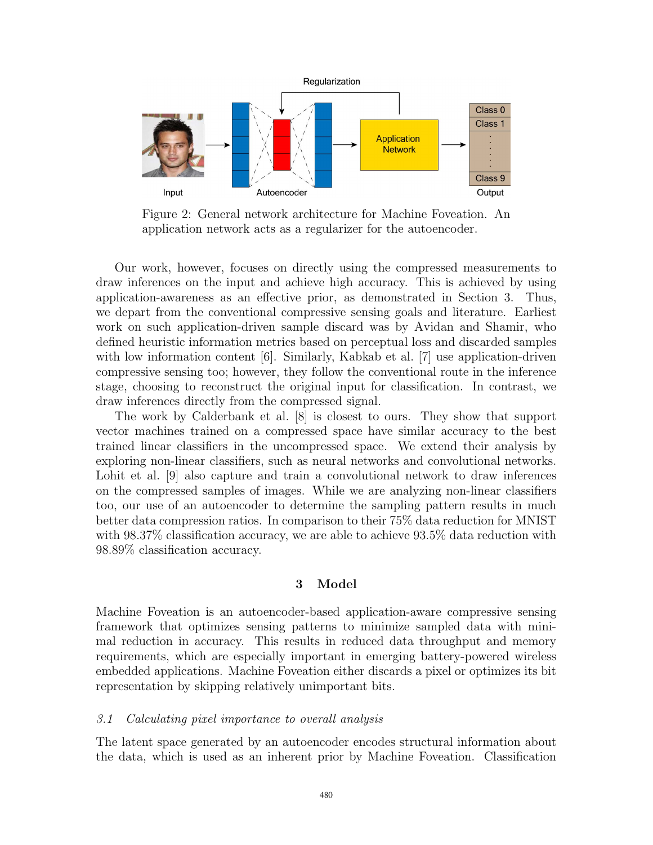

Figure 2: General network architecture for Machine Foveation. An application network acts as a regularizer for the autoencoder.

Our work, however, focuses on directly using the compressed measurements to draw inferences on the input and achieve high accuracy. This is achieved by using application-awareness as an effective prior, as demonstrated in Section 3. Thus, we depart from the conventional compressive sensing goals and literature. Earliest work on such application-driven sample discard was by Avidan and Shamir, who defined heuristic information metrics based on perceptual loss and discarded samples with low information content [6]. Similarly, Kabkab et al. [7] use application-driven compressive sensing too; however, they follow the conventional route in the inference stage, choosing to reconstruct the original input for classification. In contrast, we draw inferences directly from the compressed signal.

The work by Calderbank et al. [8] is closest to ours. They show that support vector machines trained on a compressed space have similar accuracy to the best trained linear classifiers in the uncompressed space. We extend their analysis by exploring non-linear classifiers, such as neural networks and convolutional networks. Lohit et al. [9] also capture and train a convolutional network to draw inferences on the compressed samples of images. While we are analyzing non-linear classifiers too, our use of an autoencoder to determine the sampling pattern results in much better data compression ratios. In comparison to their 75% data reduction for MNIST with 98.37% classification accuracy, we are able to achieve 93.5% data reduction with 98.89% classification accuracy.

### **3 Model**

Machine Foveation is an autoencoder-based application-aware compressive sensing framework that optimizes sensing patterns to minimize sampled data with minimal reduction in accuracy. This results in reduced data throughput and memory requirements, which are especially important in emerging battery-powered wireless embedded applications. Machine Foveation either discards a pixel or optimizes its bit representation by skipping relatively unimportant bits.

### *3.1 Calculating pixel importance to overall analysis*

The latent space generated by an autoencoder encodes structural information about the data, which is used as an inherent prior by Machine Foveation. Classification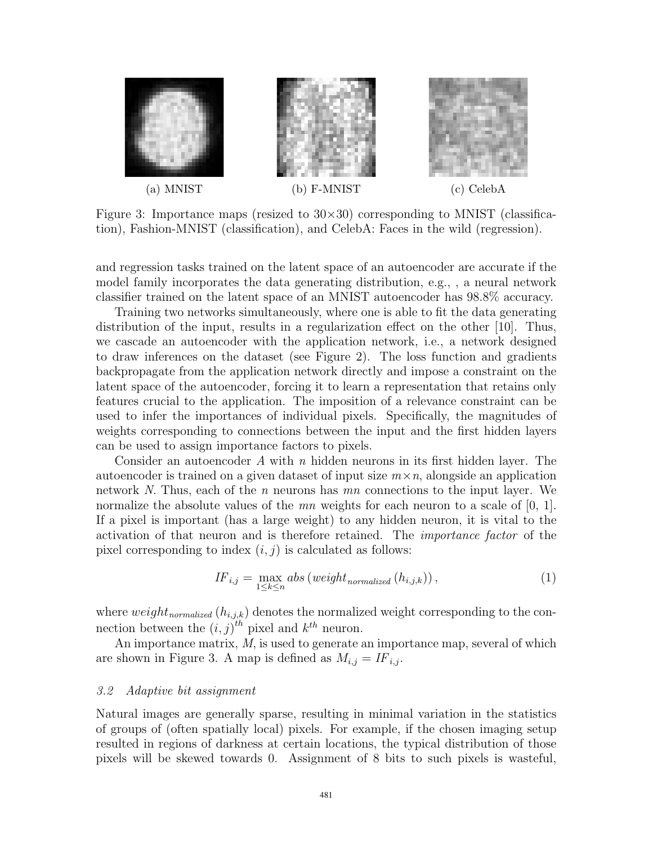

Figure 3: Importance maps (resized to  $30\times30$ ) corresponding to MNIST (classification), Fashion-MNIST (classification), and CelebA: Faces in the wild (regression).

and regression tasks trained on the latent space of an autoencoder are accurate if the model family incorporates the data generating distribution, e.g., , a neural network classifier trained on the latent space of an MNIST autoencoder has 98.8% accuracy.

Training two networks simultaneously, where one is able to fit the data generating distribution of the input, results in a regularization effect on the other [10]. Thus, we cascade an autoencoder with the application network, i.e., a network designed to draw inferences on the dataset (see Figure 2). The loss function and gradients backpropagate from the application network directly and impose a constraint on the latent space of the autoencoder, forcing it to learn a representation that retains only features crucial to the application. The imposition of a relevance constraint can be used to infer the importances of individual pixels. Specifically, the magnitudes of weights corresponding to connections between the input and the first hidden layers can be used to assign importance factors to pixels.

Consider an autoencoder *A* with *n* hidden neurons in its first hidden layer. The autoencoder is trained on a given dataset of input size  $m \times n$ , alongside an application network *N*. Thus, each of the *n* neurons has *mn* connections to the input layer. We normalize the absolute values of the *mn* weights for each neuron to a scale of [0, 1]. If a pixel is important (has a large weight) to any hidden neuron, it is vital to the activation of that neuron and is therefore retained. The *importance factor* of the pixel corresponding to index  $(i, j)$  is calculated as follows:

$$
IF_{i,j} = \max_{1 \le k \le n} abs\left(weight_{normalized}\left(h_{i,j,k}\right)\right),\tag{1}
$$

where  $weight_{normalized}(h_{i,j,k})$  denotes the normalized weight corresponding to the connection between the  $(i, j)^{th}$  pixel and  $k^{th}$  neuron.<br>An importance matrix M is used to generate

An importance matrix, *M*, is used to generate an importance map, several of which are shown in Figure 3. A map is defined as  $M_{i,j} = I F_{i,j}$ .

### *3.2 Adaptive bit assignment*

Natural images are generally sparse, resulting in minimal variation in the statistics of groups of (often spatially local) pixels. For example, if the chosen imaging setup resulted in regions of darkness at certain locations, the typical distribution of those pixels will be skewed towards 0. Assignment of 8 bits to such pixels is wasteful,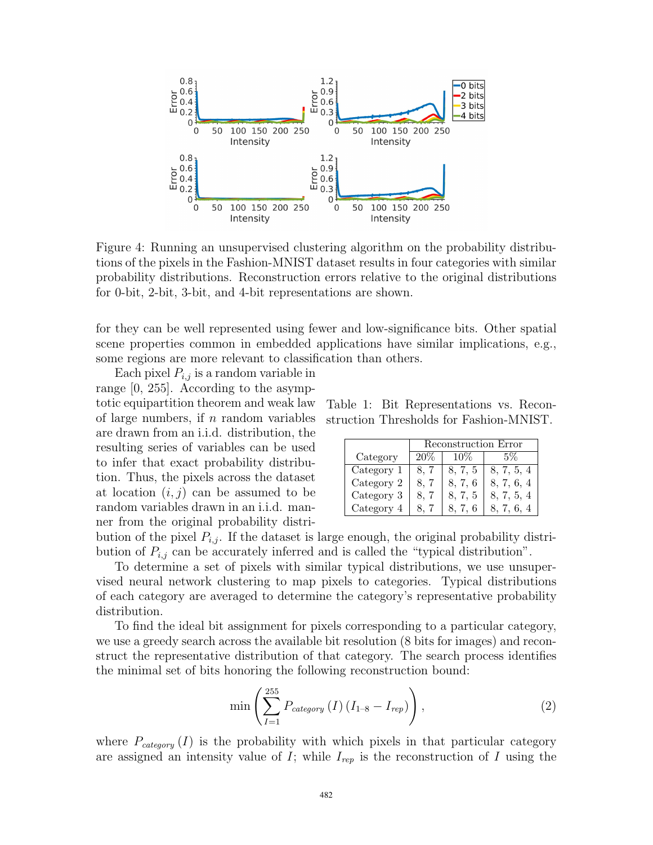

Figure 4: Running an unsupervised clustering algorithm on the probability distributions of the pixels in the Fashion-MNIST dataset results in four categories with similar probability distributions. Reconstruction errors relative to the original distributions for 0-bit, 2-bit, 3-bit, and 4-bit representations are shown.

for they can be well represented using fewer and low-significance bits. Other spatial scene properties common in embedded applications have similar implications, e.g., some regions are more relevant to classification than others.

Each pixel  $P_{i,j}$  is a random variable in range [0, 255]. According to the asymptotic equipartition theorem and weak law of large numbers, if  $n$  random variables are drawn from an i.i.d. distribution, the resulting series of variables can be used to infer that exact probability distribution. Thus, the pixels across the dataset at location  $(i, j)$  can be assumed to be random variables drawn in an i.i.d. manner from the original probability distri-

Table 1: Bit Representations vs. Reconstruction Thresholds for Fashion-MNIST.

|            | Reconstruction Error |         |            |  |  |
|------------|----------------------|---------|------------|--|--|
| Category   | 20%                  | 10%     | 5%         |  |  |
| Category 1 |                      | 8, 7, 5 | 8, 7, 5, 4 |  |  |
| Category 2 |                      | 8. 7. 6 | 8, 7, 6, 4 |  |  |
| Category 3 | 8. Z                 | 8, 7, 5 | 8, 7, 5, 4 |  |  |
| Category 4 |                      |         |            |  |  |

bution of the pixel  $P_{i,j}$ . If the dataset is large enough, the original probability distribution of  $P_{i,j}$  can be accurately inferred and is called the "typical distribution".

To determine a set of pixels with similar typical distributions, we use unsupervised neural network clustering to map pixels to categories. Typical distributions of each category are averaged to determine the category's representative probability distribution.

To find the ideal bit assignment for pixels corresponding to a particular category, we use a greedy search across the available bit resolution (8 bits for images) and reconstruct the representative distribution of that category. The search process identifies the minimal set of bits honoring the following reconstruction bound:

$$
\min\left(\sum_{I=1}^{255} P_{category}\left(I\right)\left(I_{1-8} - I_{rep}\right)\right),\tag{2}
$$

where  $P_{category}(I)$  is the probability with which pixels in that particular category are assigned an intensity value of <sup>I</sup>; while <sup>I</sup>*rep* is the reconstruction of <sup>I</sup> using the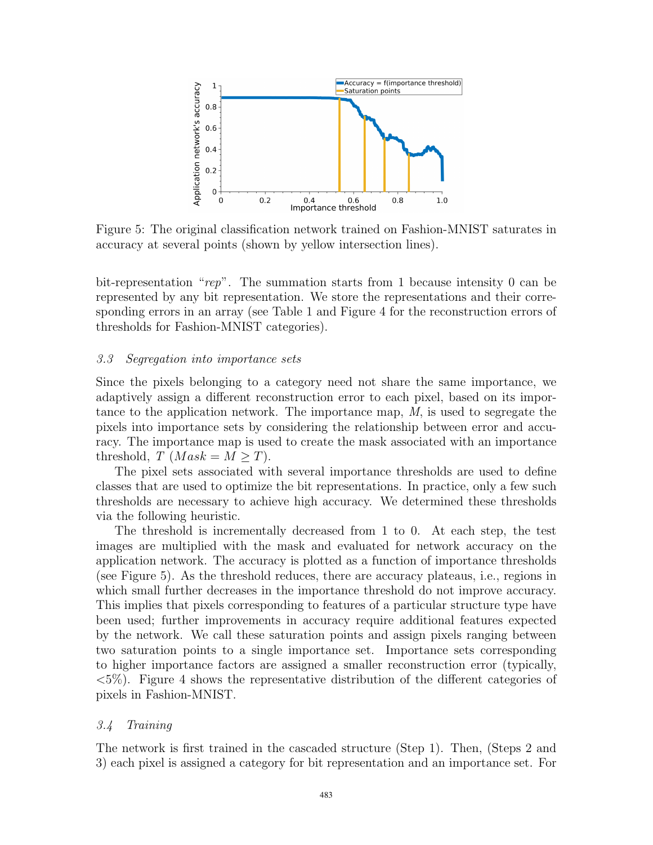

Figure 5: The original classification network trained on Fashion-MNIST saturates in accuracy at several points (shown by yellow intersection lines).

bit-representation "*rep*". The summation starts from 1 because intensity 0 can be represented by any bit representation. We store the representations and their corresponding errors in an array (see Table 1 and Figure 4 for the reconstruction errors of thresholds for Fashion-MNIST categories).

### *3.3 Segregation into importance sets*

Since the pixels belonging to a category need not share the same importance, we adaptively assign a different reconstruction error to each pixel, based on its importance to the application network. The importance map, *M*, is used to segregate the pixels into importance sets by considering the relationship between error and accuracy. The importance map is used to create the mask associated with an importance threshold, *T* (*Mask* =  $M \geq T$ ).

The pixel sets associated with several importance thresholds are used to define classes that are used to optimize the bit representations. In practice, only a few such thresholds are necessary to achieve high accuracy. We determined these thresholds via the following heuristic.

The threshold is incrementally decreased from 1 to 0. At each step, the test images are multiplied with the mask and evaluated for network accuracy on the application network. The accuracy is plotted as a function of importance thresholds (see Figure 5). As the threshold reduces, there are accuracy plateaus, i.e., regions in which small further decreases in the importance threshold do not improve accuracy. This implies that pixels corresponding to features of a particular structure type have been used; further improvements in accuracy require additional features expected by the network. We call these saturation points and assign pixels ranging between two saturation points to a single importance set. Importance sets corresponding to higher importance factors are assigned a smaller reconstruction error (typically,  $\langle 5\% \rangle$ . Figure 4 shows the representative distribution of the different categories of pixels in Fashion-MNIST.

### *3.4 Training*

The network is first trained in the cascaded structure (Step 1). Then, (Steps 2 and 3) each pixel is assigned a category for bit representation and an importance set. For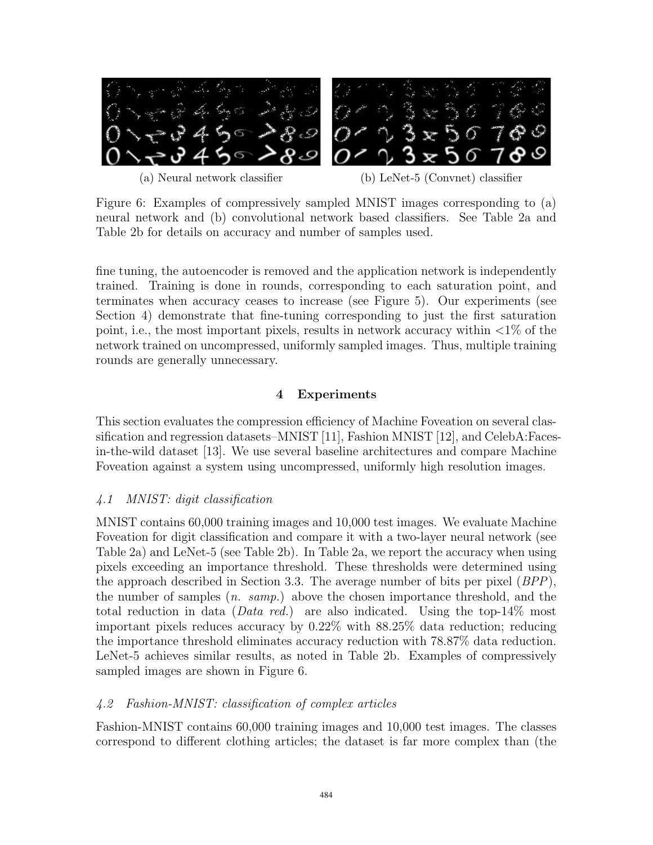

(a) Neural network classifier (b) LeNet-5 (Convnet) classifier

Figure 6: Examples of compressively sampled MNIST images corresponding to (a) neural network and (b) convolutional network based classifiers. See Table 2a and Table 2b for details on accuracy and number of samples used.

fine tuning, the autoencoder is removed and the application network is independently trained. Training is done in rounds, corresponding to each saturation point, and terminates when accuracy ceases to increase (see Figure 5). Our experiments (see Section 4) demonstrate that fine-tuning corresponding to just the first saturation point, i.e., the most important pixels, results in network accuracy within  $\langle 1\%$  of the network trained on uncompressed, uniformly sampled images. Thus, multiple training rounds are generally unnecessary.

### **4 Experiments**

This section evaluates the compression efficiency of Machine Foveation on several classification and regression datasets–MNIST [11], Fashion MNIST [12], and CelebA:Facesin-the-wild dataset [13]. We use several baseline architectures and compare Machine Foveation against a system using uncompressed, uniformly high resolution images.

## *4.1 MNIST: digit classification*

MNIST contains 60,000 training images and 10,000 test images. We evaluate Machine Foveation for digit classification and compare it with a two-layer neural network (see Table 2a) and LeNet-5 (see Table 2b). In Table 2a, we report the accuracy when using pixels exceeding an importance threshold. These thresholds were determined using the approach described in Section 3.3. The average number of bits per pixel (*BPP*), the number of samples (*n. samp.*) above the chosen importance threshold, and the total reduction in data (*Data red.*) are also indicated. Using the top-14% most important pixels reduces accuracy by 0.22% with 88.25% data reduction; reducing the importance threshold eliminates accuracy reduction with 78.87% data reduction. LeNet-5 achieves similar results, as noted in Table 2b. Examples of compressively sampled images are shown in Figure 6.

### *4.2 Fashion-MNIST: classification of complex articles*

Fashion-MNIST contains 60,000 training images and 10,000 test images. The classes correspond to different clothing articles; the dataset is far more complex than (the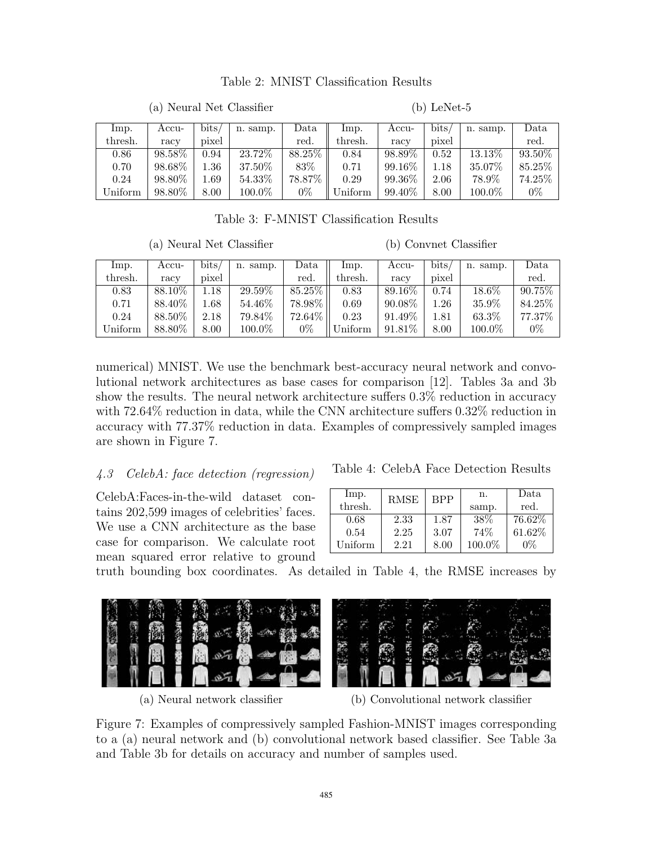### Table 2: MNIST Classification Results

| Imp.    | Accu-     | bits/ | n. samp.  | $_{\rm Data}$ | lmp.    | Accu-     | bits, | n. samp.  | Data      |
|---------|-----------|-------|-----------|---------------|---------|-----------|-------|-----------|-----------|
| thresh. | racy      | pixel |           | red.          | thresh. | racy      | pixel |           | red.      |
| 0.86    | $98.58\%$ | 0.94  | $23.72\%$ | 88.25%        | 0.84    | $98.89\%$ | 0.52  | $13.13\%$ | $93.50\%$ |
| 0.70    | 98.68%    | 1.36  | 37.50%    | 83%           | 0.71    | 99.16%    | .18   | 35.07%    | 85.25%    |
| 0.24    | 98.80%    | 1.69  | 54.33%    | 78.87\%       | 0.29    | 99.36%    | 2.06  | 78.9%     | 74.25%    |
| Uniform | 98.80%    | 8.00  | 100.0%    | $0\%$         | Uniform | 99.40%    | 8.00  | 100.0%    | $0\%$     |

(a) Neural Net Classifier

Table 3: F-MNIST Classification Results

(a) Neural Net Classifier

(b) Convnet Classifier

(b) LeNet-5

| Imp.    | Accu-   | bits           | samp.<br>n. | Data   | lmp.    | Accu-   | $_{\rm bits}$ | n. samp. | Data      |
|---------|---------|----------------|-------------|--------|---------|---------|---------------|----------|-----------|
| thresh. | racy    | $_{\rm pixel}$ |             | red.   | thresh. | racy    | pixel         |          | red.      |
| 0.83    | 88.10%  | .18            | $29.59\%$   | 85.25% | 0.83    | 89.16\% | 0.74          | $18.6\%$ | 90.75%    |
| 0.71    | 88.40\% | !.68           | 54.46%      | 78.98% | 0.69    | 90.08%  | 1.26          | 35.9%    | 84.25\%   |
| 0.24    | 88.50%  | 2.18           | 79.84%      | 72.64% | 0.23    | 91.49%  | 1.81          | 63.3%    | $77.37\%$ |
| Uniform | 88.80%  | 8.00           | $100.0\%$   | $0\%$  | Jniform | 91.81\% | 8.00          | 100.0%   | $0\%$     |

numerical) MNIST. We use the benchmark best-accuracy neural network and convolutional network architectures as base cases for comparison [12]. Tables 3a and 3b show the results. The neural network architecture suffers 0.3% reduction in accuracy with 72.64% reduction in data, while the CNN architecture suffers 0.32% reduction in accuracy with 77.37% reduction in data. Examples of compressively sampled images are shown in Figure 7.

# *4.3 CelebA: face detection (regression)* Table 4: CelebA Face Detection Results

CelebA:Faces-in-the-wild dataset contains 202,599 images of celebrities' faces. We use a CNN architecture as the base case for comparison. We calculate root mean squared error relative to ground

| lmp.<br>thresh. | <b>RMSE</b> | <b>BPP</b> | n.<br>samp. | Data<br>red. |
|-----------------|-------------|------------|-------------|--------------|
| 0.68            | 2.33        | 1.87       | 38%         | 76.62%       |
| 0.54            | 2.25        | 3.07       | 74%         | 61.62%       |
| Uniform         | 2.21        | 8.00       | 100.0%      | 0%           |

truth bounding box coordinates. As detailed in Table 4, the RMSE increases by



(a) Neural network classifier (b) Convolutional network classifier

Figure 7: Examples of compressively sampled Fashion-MNIST images corresponding to a (a) neural network and (b) convolutional network based classifier. See Table 3a and Table 3b for details on accuracy and number of samples used.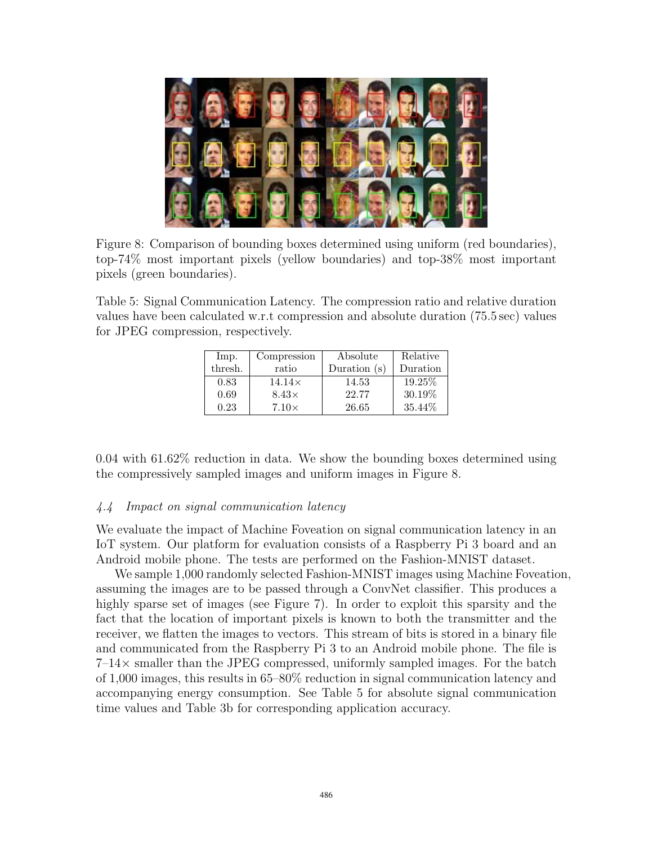

Figure 8: Comparison of bounding boxes determined using uniform (red boundaries), top-74% most important pixels (yellow boundaries) and top-38% most important pixels (green boundaries).

Table 5: Signal Communication Latency. The compression ratio and relative duration values have been calculated w.r.t compression and absolute duration (75.5 sec) values for JPEG compression, respectively.

| Imp.    | Compression   | Absolute       | Relative |
|---------|---------------|----------------|----------|
| thresh. | ratio         | Duration $(s)$ | Duration |
| 0.83    | $14.14\times$ | 14.53          | 19.25%   |
| 0.69    | $8.43\times$  | 22.77          | 30.19%   |
| 0.23    | $7.10\times$  | 26.65          | 35.44%   |

0.04 with 61.62% reduction in data. We show the bounding boxes determined using the compressively sampled images and uniform images in Figure 8.

### *4.4 Impact on signal communication latency*

We evaluate the impact of Machine Foveation on signal communication latency in an IoT system. Our platform for evaluation consists of a Raspberry Pi 3 board and an Android mobile phone. The tests are performed on the Fashion-MNIST dataset.

We sample 1,000 randomly selected Fashion-MNIST images using Machine Foveation, assuming the images are to be passed through a ConvNet classifier. This produces a highly sparse set of images (see Figure 7). In order to exploit this sparsity and the fact that the location of important pixels is known to both the transmitter and the receiver, we flatten the images to vectors. This stream of bits is stored in a binary file and communicated from the Raspberry Pi 3 to an Android mobile phone. The file is  $7-14\times$  smaller than the JPEG compressed, uniformly sampled images. For the batch of 1,000 images, this results in 65–80% reduction in signal communication latency and accompanying energy consumption. See Table 5 for absolute signal communication time values and Table 3b for corresponding application accuracy.